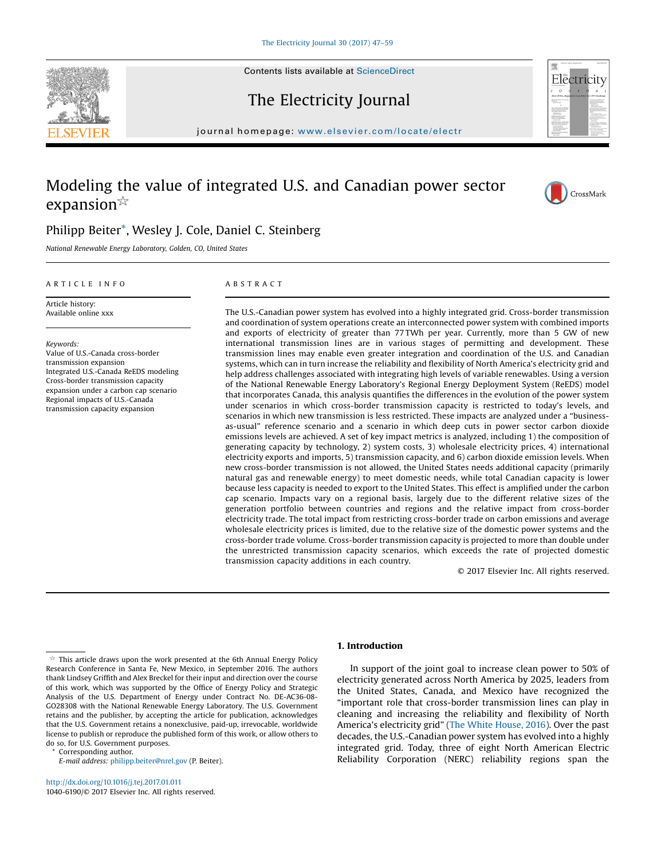

The Electricity Journal

journal homepage: <www.elsevier.com/locate/electr>on-locate/electron-locate/electron-locate/electron-locate/electron-locate/electron-locate/electron-locate/electron-locate/electron-locate/electron-locate/electron-locate/ele

# Modeling the value of integrated U.S. and Canadian power sector expansion $*$



# Philipp Beiter\*, Wesley J. Cole, Daniel C. Steinberg

National Renewable Energy Laboratory, Golden, CO, United States

### A R T I C L E I N F O

Article history: Available online xxx

Keywords: Value of U.S.-Canada cross-border transmission expansion Integrated U.S.-Canada ReEDS modeling Cross-border transmission capacity expansion under a carbon cap scenario Regional impacts of U.S.-Canada transmission capacity expansion

## A B S T R A C T

The U.S.-Canadian power system has evolved into a highly integrated grid. Cross-border transmission and coordination of system operations create an interconnected power system with combined imports and exports of electricity of greater than 77 TWh per year. Currently, more than 5 GW of new international transmission lines are in various stages of permitting and development. These transmission lines may enable even greater integration and coordination of the U.S. and Canadian systems, which can in turn increase the reliability and flexibility of North America's electricity grid and help address challenges associated with integrating high levels of variable renewables. Using a version of the National Renewable Energy Laboratory's Regional Energy Deployment System (ReEDS) model that incorporates Canada, this analysis quantifies the differences in the evolution of the power system under scenarios in which cross-border transmission capacity is restricted to today's levels, and scenarios in which new transmission is less restricted. These impacts are analyzed under a "businessas-usual" reference scenario and a scenario in which deep cuts in power sector carbon dioxide emissions levels are achieved. A set of key impact metrics is analyzed, including 1) the composition of generating capacity by technology, 2) system costs, 3) wholesale electricity prices, 4) international electricity exports and imports, 5) transmission capacity, and 6) carbon dioxide emission levels. When new cross-border transmission is not allowed, the United States needs additional capacity (primarily natural gas and renewable energy) to meet domestic needs, while total Canadian capacity is lower because less capacity is needed to export to the United States. This effect is amplified under the carbon cap scenario. Impacts vary on a regional basis, largely due to the different relative sizes of the generation portfolio between countries and regions and the relative impact from cross-border electricity trade. The total impact from restricting cross-border trade on carbon emissions and average wholesale electricity prices is limited, due to the relative size of the domestic power systems and the cross-border trade volume. Cross-border transmission capacity is projected to more than double under the unrestricted transmission capacity scenarios, which exceeds the rate of projected domestic transmission capacity additions in each country.

© 2017 Elsevier Inc. All rights reserved.

Corresponding author.

<http://dx.doi.org/10.1016/j.tej.2017.01.011> 1040-6190/© 2017 Elsevier Inc. All rights reserved.

## 1. Introduction

In support of the joint goal to increase clean power to 50% of electricity generated across North America by 2025, leaders from the United States, Canada, and Mexico have recognized the "important role that cross-border transmission lines can play in cleaning and increasing the reliability and flexibility of North America's electricity grid" (The White House, 2016). Over the past decades, the U.S.-Canadian power system has evolved into a highly integrated grid. Today, three of eight North American Electric Reliability Corporation (NERC) reliability regions span the

 $*$  This article draws upon the work presented at the 6th Annual Energy Policy Research Conference in Santa Fe, New Mexico, in September 2016. The authors thank Lindsey Griffith and Alex Breckel for their input and direction over the course of this work, which was supported by the Office of Energy Policy and Strategic Analysis of the U.S. Department of Energy under Contract No. DE-AC36-08- GO28308 with the National Renewable Energy Laboratory. The U.S. Government retains and the publisher, by accepting the article for publication, acknowledges that the U.S. Government retains a nonexclusive, paid-up, irrevocable, worldwide license to publish or reproduce the published form of this work, or allow others to do so, for U.S. Government purposes.

E-mail address: [philipp.beiter@nrel.gov](mailto:philipp.beiter@nrel.gov) (P. Beiter).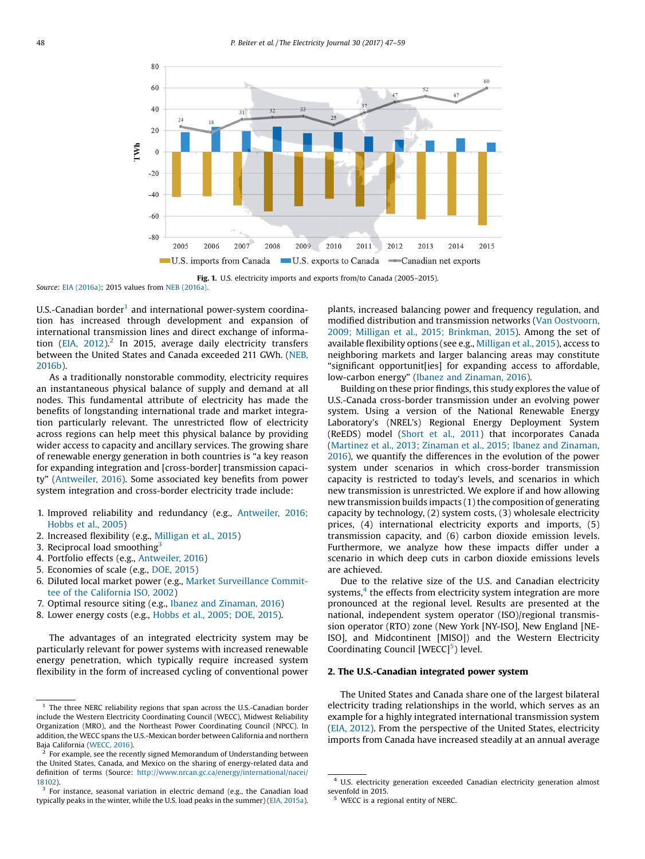



Source: EIA (2016a); 2015 values from NEB (2016a).

 $U.S.-C$ anadian border<sup>1</sup> and international power-system coordination has increased through development and expansion of international transmission lines and direct exchange of information (EIA,  $2012$ )<sup>2</sup> In 2015, average daily electricity transfers between the United States and Canada exceeded 211 GWh. (NEB, 2016b).

As a traditionally nonstorable commodity, electricity requires an instantaneous physical balance of supply and demand at all nodes. This fundamental attribute of electricity has made the benefits of longstanding international trade and market integration particularly relevant. The unrestricted flow of electricity across regions can help meet this physical balance by providing wider access to capacity and ancillary services. The growing share of renewable energy generation in both countries is "a key reason for expanding integration and [cross-border] transmission capacity" (Antweiler, 2016). Some associated key benefits from power system integration and cross-border electricity trade include:

- 1. Improved reliability and redundancy (e.g., Antweiler, 2016; Hobbs et al., 2005)
- 2. Increased flexibility (e.g., Milligan et al., 2015)
- 3. Reciprocal load smoothing $3$
- 4. Portfolio effects (e.g., Antweiler, 2016)
- 5. Economies of scale (e.g., DOE, 2015)
- 6. Diluted local market power (e.g., Market Surveillance Committee of the California ISO, 2002)
- 7. Optimal resource siting (e.g., Ibanez and Zinaman, 2016)
- 8. Lower energy costs (e.g., Hobbs et al., 2005; DOE, 2015).

The advantages of an integrated electricity system may be particularly relevant for power systems with increased renewable energy penetration, which typically require increased system flexibility in the form of increased cycling of conventional power plants, increased balancing power and frequency regulation, and modified distribution and transmission networks (Van Oostvoorn, 2009; Milligan et al., 2015; Brinkman, 2015). Among the set of available flexibility options (see e.g., Milligan et al., 2015), access to neighboring markets and larger balancing areas may constitute "significant opportunit[ies] for expanding access to affordable, low-carbon energy" (Ibanez and Zinaman, 2016).

Building on these prior findings, this study explores the value of U.S.-Canada cross-border transmission under an evolving power system. Using a version of the National Renewable Energy Laboratory's (NREL's) Regional Energy Deployment System (ReEDS) model (Short et al., 2011) that incorporates Canada (Martinez et al., 2013; Zinaman et al., 2015; Ibanez and Zinaman, 2016), we quantify the differences in the evolution of the power system under scenarios in which cross-border transmission capacity is restricted to today's levels, and scenarios in which new transmission is unrestricted. We explore if and how allowing new transmission builds impacts (1) the composition of generating capacity by technology, (2) system costs, (3) wholesale electricity prices, (4) international electricity exports and imports, (5) transmission capacity, and (6) carbon dioxide emission levels. Furthermore, we analyze how these impacts differ under a scenario in which deep cuts in carbon dioxide emissions levels are achieved.

Due to the relative size of the U.S. and Canadian electricity systems, $4$  the effects from electricity system integration are more pronounced at the regional level. Results are presented at the national, independent system operator (ISO)/regional transmission operator (RTO) zone (New York [NY-ISO], New England [NE-ISO], and Midcontinent [MISO]) and the Western Electricity Coordinating Council  $[WECC]^{5}$ ) level.

#### 2. The U.S.-Canadian integrated power system

The United States and Canada share one of the largest bilateral electricity trading relationships in the world, which serves as an example for a highly integrated international transmission system (EIA, 2012). From the perspective of the United States, electricity imports from Canada have increased steadily at an annual average

 $1$  The three NERC reliability regions that span across the U.S.-Canadian border include the Western Electricity Coordinating Council (WECC), Midwest Reliability Organization (MRO), and the Northeast Power Coordinating Council (NPCC). In addition, the WECC spans the U.S.-Mexican border between California and northern Baja California (WECC, 2016).

For example, see the recently signed Memorandum of Understanding between the United States, Canada, and Mexico on the sharing of energy-related data and definition of terms (Source: [http://www.nrcan.gc.ca/energy/international/nacei/](http://www.nrcan.gc.ca/energy/international/nacei/18102) [18102\)](http://www.nrcan.gc.ca/energy/international/nacei/18102).

<sup>&</sup>lt;sup>3</sup> For instance, seasonal variation in electric demand (e.g., the Canadian load typically peaks in the winter, while the U.S. load peaks in the summer) (EIA, 2015a).

<sup>4</sup> U.S. electricity generation exceeded Canadian electricity generation almost sevenfold in 2015.

WECC is a regional entity of NERC.